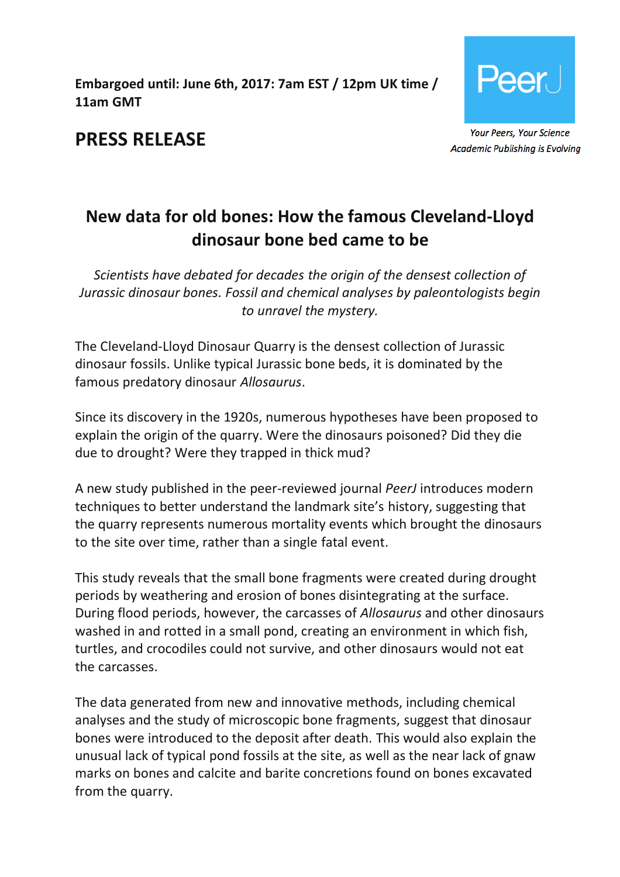**Embargoed until: June 6th, 2017: 7am EST / 12pm UK time / 11am GMT**



**Academic Publishing is Evolving** 

# **PRESS RELEASE**

# **New data for old bones: How the famous Cleveland-Lloyd dinosaur bone bed came to be**

*Scientists have debated for decades the origin of the densest collection of Jurassic dinosaur bones. Fossil and chemical analyses by paleontologists begin to unravel the mystery.*

The Cleveland-Lloyd Dinosaur Quarry is the densest collection of Jurassic dinosaur fossils. Unlike typical Jurassic bone beds, it is dominated by the famous predatory dinosaur *Allosaurus*.

Since its discovery in the 1920s, numerous hypotheses have been proposed to explain the origin of the quarry. Were the dinosaurs poisoned? Did they die due to drought? Were they trapped in thick mud?

A new study published in the peer-reviewed journal *PeerJ* introduces modern techniques to better understand the landmark site's history, suggesting that the quarry represents numerous mortality events which brought the dinosaurs to the site over time, rather than a single fatal event.

This study reveals that the small bone fragments were created during drought periods by weathering and erosion of bones disintegrating at the surface. During flood periods, however, the carcasses of *Allosaurus* and other dinosaurs washed in and rotted in a small pond, creating an environment in which fish, turtles, and crocodiles could not survive, and other dinosaurs would not eat the carcasses.

The data generated from new and innovative methods, including chemical analyses and the study of microscopic bone fragments, suggest that dinosaur bones were introduced to the deposit after death. This would also explain the unusual lack of typical pond fossils at the site, as well as the near lack of gnaw marks on bones and calcite and barite concretions found on bones excavated from the quarry.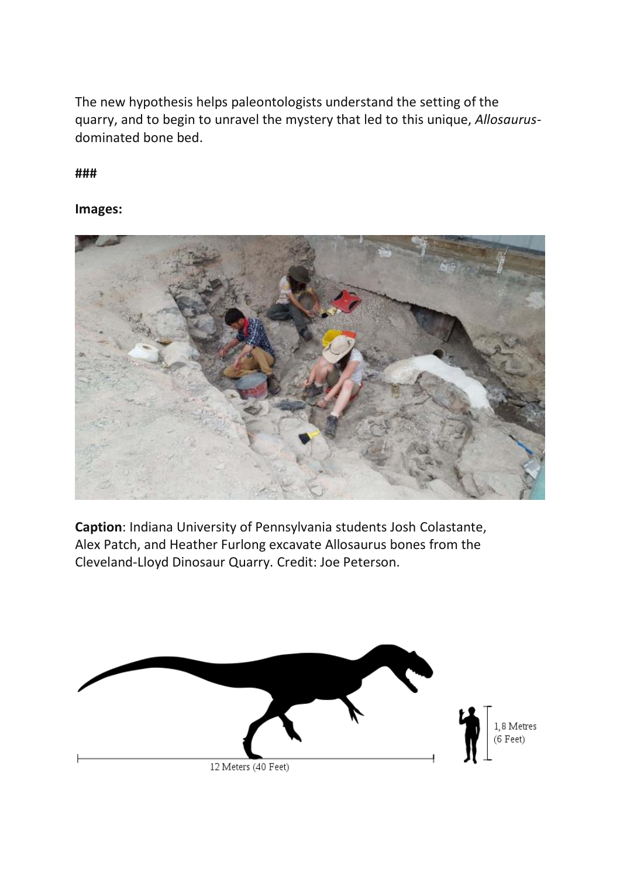The new hypothesis helps paleontologists understand the setting of the quarry, and to begin to unravel the mystery that led to this unique, *Allosaurus*dominated bone bed.

**###**

**Images:**



**Caption**: Indiana University of Pennsylvania students Josh Colastante, Alex Patch, and Heather Furlong excavate Allosaurus bones from the Cleveland-Lloyd Dinosaur Quarry. Credit: Joe Peterson.

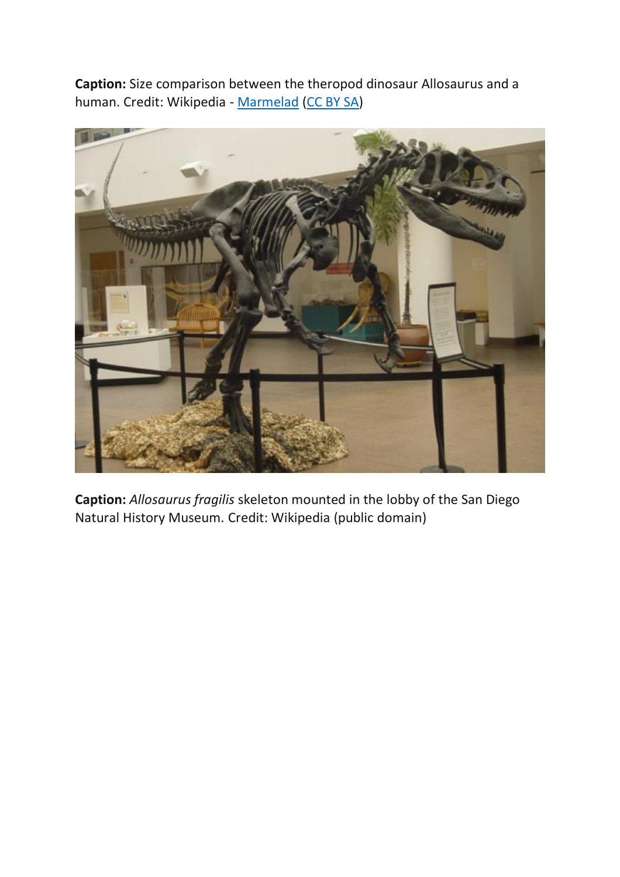**Caption:** Size comparison between the theropod dinosaur Allosaurus and a human. Credit: Wikipedia - [Marmelad](https://commons.wikimedia.org/wiki/User:Marmelad) [\(CC BY SA\)](https://creativecommons.org/licenses/by-sa/2.5/deed.en)



**Caption:** *Allosaurus fragilis* skeleton mounted in the lobby of the San Diego Natural History Museum. Credit: Wikipedia (public domain)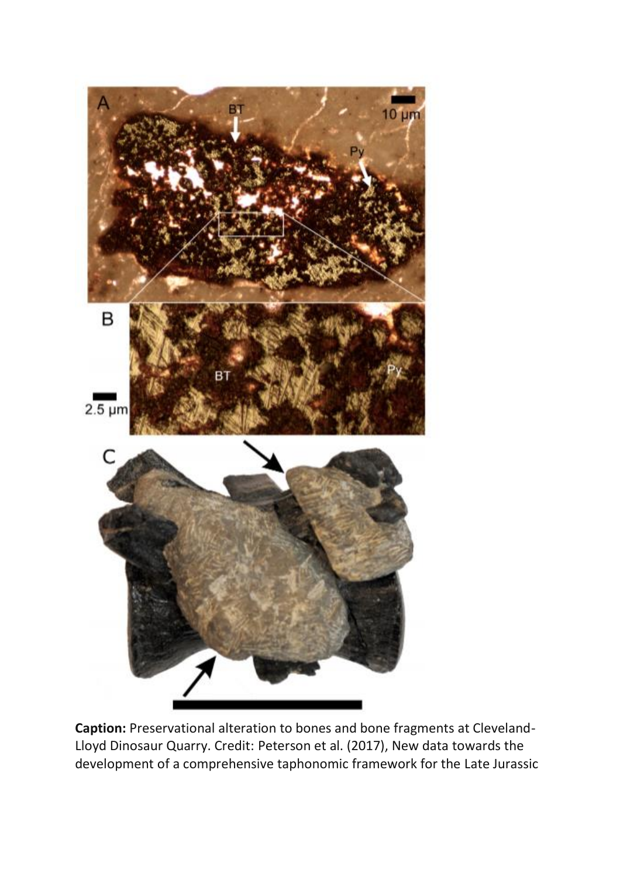

**Caption:** Preservational alteration to bones and bone fragments at Cleveland-Lloyd Dinosaur Quarry. Credit: Peterson et al. (2017), New data towards the development of a comprehensive taphonomic framework for the Late Jurassic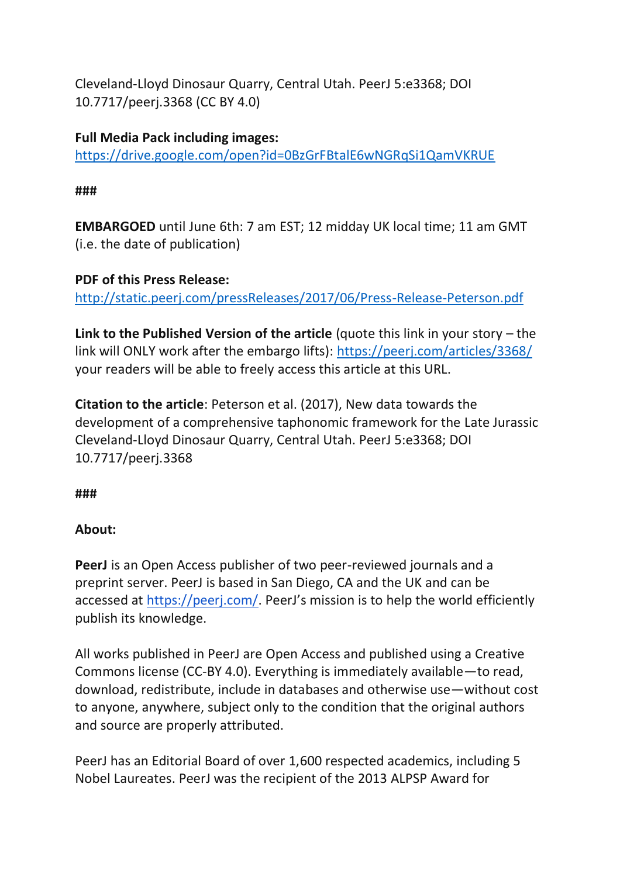Cleveland-Lloyd Dinosaur Quarry, Central Utah. PeerJ 5:e3368; DOI 10.7717/peerj.3368 (CC BY 4.0)

**Full Media Pack including images:**  <https://drive.google.com/open?id=0BzGrFBtalE6wNGRqSi1QamVKRUE>

### **###**

**EMBARGOED** until June 6th: 7 am EST; 12 midday UK local time; 11 am GMT (i.e. the date of publication)

### **PDF of this Press Release:**

<http://static.peerj.com/pressReleases/2017/06/Press-Release-Peterson.pdf>

**Link to the Published Version of the article** (quote this link in your story – the link will ONLY work after the embargo lifts): [https://peerj.com/articles/3368/](https://peerj.com/articles/3272/) your readers will be able to freely access this article at this URL.

**Citation to the article**: Peterson et al. (2017), New data towards the development of a comprehensive taphonomic framework for the Late Jurassic Cleveland-Lloyd Dinosaur Quarry, Central Utah. PeerJ 5:e3368; DOI 10.7717/peerj.3368

**###**

## **About:**

**PeerJ** is an Open Access publisher of two peer-reviewed journals and a preprint server. PeerJ is based in San Diego, CA and the UK and can be accessed at <https://peerj.com/>. PeerJ's mission is to help the world efficiently publish its knowledge.

All works published in PeerJ are Open Access and published using a Creative Commons license (CC-BY 4.0). Everything is immediately available—to read, download, redistribute, include in databases and otherwise use—without cost to anyone, anywhere, subject only to the condition that the original authors and source are properly attributed.

PeerJ has an Editorial Board of over 1,600 respected academics, including 5 Nobel Laureates. PeerJ was the recipient of the 2013 ALPSP Award for